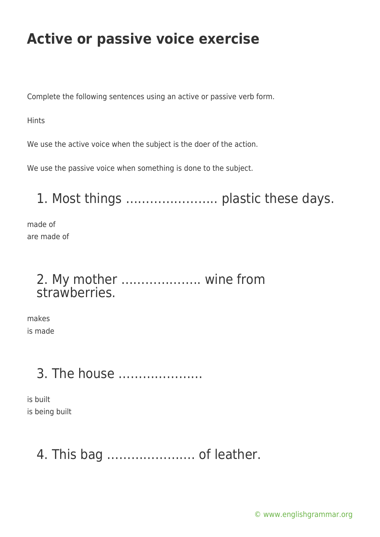Complete the following sentences using an active or passive verb form.

**Hints** 

We use the active voice when the subject is the doer of the action.

We use the passive voice when something is done to the subject.

1. Most things ………………….. plastic these days.

made of are made of

### 2. My mother ……………….. wine from strawberries.

makes is made

# 3. The house …………………

is built is being built

### 4. This bag …………………. of leather.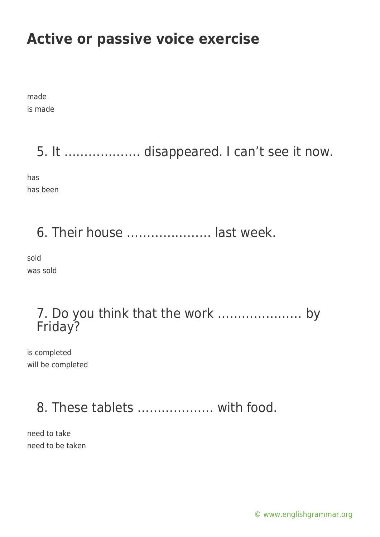made is made

### 5. It ………………. disappeared. I can't see it now.

has has been

## 6. Their house ………………… last week.

sold was sold

#### 7. Do you think that the work ………………… by Friday?

is completed will be completed

## 8. These tablets ………………. with food.

need to take need to be taken

[© www.englishgrammar.org](https://www.englishgrammar.org/)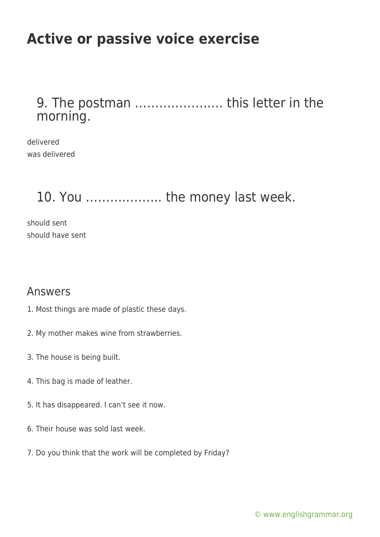#### 9. The postman …………………. this letter in the morning.

delivered was delivered

### 10. You ………………. the money last week.

should sent should have sent

#### Answers

- 1. Most things are made of plastic these days.
- 2. My mother makes wine from strawberries.
- 3. The house is being built.
- 4. This bag is made of leather.
- 5. It has disappeared. I can't see it now.
- 6. Their house was sold last week.
- 7. Do you think that the work will be completed by Friday?